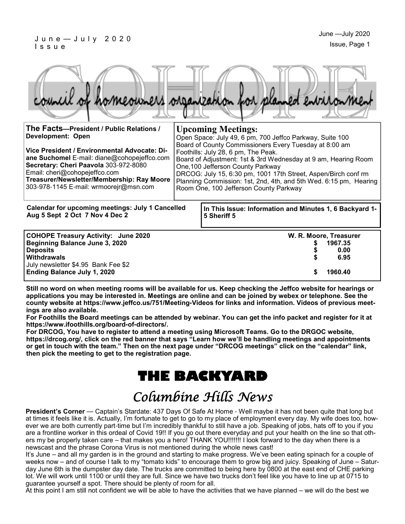#### J u n e — J u l y 2 0 2 0 I s s u e

|  |  |  | council of homeowners organization for planned environment |
|--|--|--|------------------------------------------------------------|
|  |  |  |                                                            |

| The Facts-President / Public Relations /<br><b>Development: Open</b><br>Vice President / Environmental Advocate: Di-<br>ane Suchomel E-mail: diane@cohopejeffco.com<br>Secretary: Cheri Paavola 303-972-8080<br>Email: cheri@cohopejeffco.com<br>Treasurer/Newsletter/Membership: Ray Moore<br>303-978-1145 E-mail: wrmoorejr@msn.com | <b>Upcoming Meetings:</b><br>Open Space: July 49, 6 pm, 700 Jeffco Parkway, Suite 100<br>Board of County Commissioners Every Tuesday at 8:00 am<br>Foothills: July 28, 6 pm, The Peak.<br>Board of Adjustment: 1st & 3rd Wednesday at 9 am, Hearing Room<br>One, 100 Jefferson County Parkway<br>DRCOG: July 15, 6:30 pm, 1001 17th Street, Aspen/Birch conf rm<br>Planning Commission: 1st, 2nd, 4th, and 5th Wed. 6:15 pm, Hearing<br>Room One, 100 Jefferson County Parkway |                                                                        |                                                              |  |
|---------------------------------------------------------------------------------------------------------------------------------------------------------------------------------------------------------------------------------------------------------------------------------------------------------------------------------------|--------------------------------------------------------------------------------------------------------------------------------------------------------------------------------------------------------------------------------------------------------------------------------------------------------------------------------------------------------------------------------------------------------------------------------------------------------------------------------|------------------------------------------------------------------------|--------------------------------------------------------------|--|
| <b>Calendar for upcoming meetings: July 1 Cancelled</b><br>Aug 5 Sept 2 Oct 7 Nov 4 Dec 2                                                                                                                                                                                                                                             |                                                                                                                                                                                                                                                                                                                                                                                                                                                                                | In This Issue: Information and Minutes 1, 6 Backyard 1-<br>5 Sheriff 5 |                                                              |  |
| COHOPE Treasury Activity: June 2020<br>Beginning Balance June 3, 2020<br><b>Deposits</b><br><b>Withdrawals</b><br>July newsletter \$4.95 Bank Fee \$2<br><b>Ending Balance July 1, 2020</b>                                                                                                                                           |                                                                                                                                                                                                                                                                                                                                                                                                                                                                                | S                                                                      | W. R. Moore, Treasurer<br>1967.35<br>0.00<br>6.95<br>1960.40 |  |

**Still no word on when meeting rooms will be available for us. Keep checking the Jeffco website for hearings or applications you may be interested in. Meetings are online and can be joined by webex or telephone. See the county website at https://www.jeffco.us/751/Meeting-Videos for links and information. Videos of previous meetings are also available.**

**For Foothills the Board meetings can be attended by webinar. You can get the info packet and register for it at https://www.ifoothills.org/board-of-directors/.**

**For DRCOG, You have to register to attend a meeting using Microsoft Teams. Go to the DRGOC website, https://drcog.org/, click on the red banner that says "Learn how we'll be handling meetings and appointments or get in touch with the team." Then on the next page under "DRCOG meetings" click on the "calendar" link, then pick the meeting to get to the registration page.**

# **THE BACKYARD**

# Columbine Hills News

**President's Corner** — Captain's Stardate: 437 Days Of Safe At Home - Well maybe it has not been quite that long but at times it feels like it is. Actually, I'm fortunate to get to go to my place of employment every day. My wife does too, however we are both currently part-time but I'm incredibly thankful to still have a job. Speaking of jobs, hats off to you if you are a frontline worker in this ordeal of Covid 19!! If you go out there everyday and put your health on the line so that others my be properly taken care – that makes you a hero! THANK YOU!!!!!!! I look forward to the day when there is a newscast and the phrase Corona Virus is not mentioned during the whole news cast!

It's June – and all my garden is in the ground and starting to make progress. We've been eating spinach for a couple of weeks now – and of course I talk to my "tomato kids" to encourage them to grow big and juicy. Speaking of June – Saturday June 6th is the dumpster day date. The trucks are committed to being here by 0800 at the east end of CHE parking lot. We will work until 1100 or until they are full. Since we have two trucks don't feel like you have to line up at 0715 to guarantee yourself a spot. There should be plenty of room for all.

At this point I am still not confident we will be able to have the activities that we have planned – we will do the best we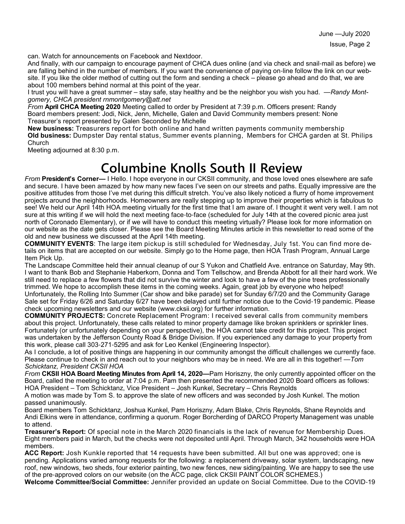June —July 2020

can. Watch for announcements on Facebook and Nextdoor.

And finally, with our campaign to encourage payment of CHCA dues online (and via check and snail-mail as before) we are falling behind in the number of members. If you want the convenience of paying on-line follow the link on our website. If you like the older method of cutting out the form and sending a check – please go ahead and do that, we are about 100 members behind normal at this point of the year.

I trust you will have a great summer – stay safe, stay healthy and be the neighbor you wish you had. —*Randy Montgomery, CHCA president rnmontgomery@att.net*

*From* **April CHCA Meeting 2020** Meeting called to order by President at 7:39 p.m. Officers present: Randy Board members present: Jodi, Nick, Jenn, Michelle, Galen and David Community members present: None Treasurer's report presented by Galen Seconded by Michelle

**New business:** Treasurers report for both online and hand written payments community membership **Old business:** Dumpster Day rental status, Summer events planning, Members for CHCA garden at St. Philips **Church** 

Meeting adjourned at 8:30 p.m.

## **Columbine Knolls South II Review**

*From* **President's Corner—** I Hello. I hope everyone in our CKSII community, and those loved ones elsewhere are safe and secure. I have been amazed by how many new faces I've seen on our streets and paths. Equally impressive are the positive attitudes from those I've met during this difficult stretch. You've also likely noticed a flurry of home improvement projects around the neighborhoods. Homeowners are really stepping up to improve their properties which is fabulous to see! We held our April 14th HOA meeting virtually for the first time that I am aware of. I thought it went very well. I am not sure at this writing if we will hold the next meeting face-to-face (scheduled for July 14th at the covered picnic area just north of Coronado Elementary), or if we will have to conduct this meeting virtually? Please look for more information on our website as the date gets closer. Please see the Board Meeting Minutes article in this newsletter to read some of the old and new business we discussed at the April 14th meeting.

**COMMUNITY EVENTS**: The large item pickup is still scheduled for Wednesday, July 1st. You can find more details on items that are accepted on our website. Simply go to the Home page, then HOA Trash Program, Annual Large Item Pick Up.

The Landscape Committee held their annual cleanup of our S Yukon and Chatfield Ave. entrance on Saturday, May 9th. I want to thank Bob and Stephanie Haberkorn, Donna and Tom Tellschow, and Brenda Abbott for all their hard work. We still need to replace a few flowers that did not survive the winter and look to have a few of the pine trees professionally trimmed. We hope to accomplish these items in the coming weeks. Again, great job by everyone who helped! Unfortunately, the Rolling Into Summer (Car show and bike parade) set for Sunday 6/7/20 and the Community Garage Sale set for Friday 6/26 and Saturday 6/27 have been delayed until further notice due to the Covid-19 pandemic. Please check upcoming newsletters and our website (www.cksii.org) for further information.

**COMMUNITY PROJECTS:** Concrete Replacement Program: I received several calls from community members about this project. Unfortunately, these calls related to minor property damage like broken sprinklers or sprinkler lines. Fortunately (or unfortunately depending on your perspective), the HOA cannot take credit for this project. This project was undertaken by the Jefferson County Road & Bridge Division. If you experienced any damage to your property from this work, please call 303-271-5295 and ask for Leo Kenkel (Engineering Inspector).

As I conclude, a lot of positive things are happening in our community amongst the difficult challenges we currently face. Please continue to check in and reach out to your neighbors who may be in need. We are all in this together! —*Tom Schicktanz, President CKSII HOA*

*From* **CKSII HOA Board Meeting Minutes from April 14, 2020—**Pam Horiszny, the only currently appointed officer on the Board, called the meeting to order at 7:04 p.m. Pam then presented the recommended 2020 Board officers as follows: HOA President – Tom Schicktanz, Vice President – Josh Kunkel, Secretary – Chris Reynolds

A motion was made by Tom S. to approve the slate of new officers and was seconded by Josh Kunkel. The motion passed unanimously.

Board members Tom Schicktanz, Joshua Kunkel, Pam Horiszny, Adam Blake, Chris Reynolds, Shane Reynolds and Andi Elkins were in attendance, confirming a quorum. Roger Borcherding of DARCO Property Management was unable to attend.

**Treasurer's Report:** Of special note in the March 2020 financials is the lack of revenue for Membership Dues. Eight members paid in March, but the checks were not deposited until April. Through March, 342 households were HOA members.

**ACC Report:** Josh Kunkle reported that 14 requests have been submitted. All but one was approved; one is pending. Applications varied among requests for the following: a replacement driveway, solar system, landscaping, new roof, new windows, two sheds, four exterior painting, two new fences, new siding/painting. We are happy to see the use of the pre-approved colors on our website (on the ACC page, click CKSII PAINT COLOR SCHEMES.)

**Welcome Committee/Social Committee:** Jennifer provided an update on Social Committee. Due to the COVID-19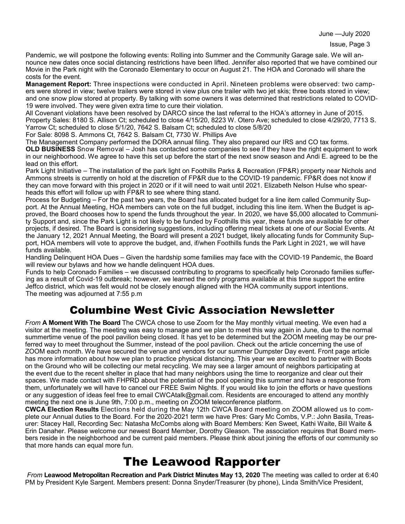June —July 2020

Pandemic, we will postpone the following events: Rolling into Summer and the Community Garage sale. We will announce new dates once social distancing restrictions have been lifted. Jennifer also reported that we have combined our Movie in the Park night with the Coronado Elementary to occur on August 21. The HOA and Coronado will share the costs for the event.

**Management Report:** Three inspections were conducted in April. Nineteen problems were observed: two campers were stored in view; twelve trailers were stored in view plus one trailer with two jet skis; three boats stored in view; and one snow plow stored at property. By talking with some owners it was determined that restrictions related to COVID-19 were involved. They were given extra time to cure their violation.

All Covenant violations have been resolved by DARCO since the last referral to the HOA's attorney in June of 2015. Property Sales: 8180 S. Allison Ct; scheduled to close 4/15/20, 8223 W. Otero Ave; scheduled to close 4/29/20, 7713 S. Yarrow Ct; scheduled to close 5/1/20, 7642 S. Balsam Ct; scheduled to close 5/8/20

For Sale: 8098 S. Ammons Ct, 7642 S. Balsam Ct, 7730 W. Phillips Ave

The Management Company performed the DORA annual filing. They also prepared our IRS and CO tax forms. **OLD BUSINESS** Snow Removal – Josh has contacted some companies to see if they have the right equipment to work in our neighborhood. We agree to have this set up before the start of the next snow season and Andi E. agreed to be the lead on this effort.

Park Light Initiative – The installation of the park light on Foothills Parks & Recreation (FP&R) property near Nichols and Ammons streets is currently on hold at the discretion of FP&R due to the COVID-19 pandemic. FP&R does not know if they can move forward with this project in 2020 or if it will need to wait until 2021. Elizabeth Nelson Hulse who spearheads this effort will follow up with FP&R to see where thing stand.

Process for Budgeting – For the past two years, the Board has allocated budget for a line item called Community Support. At the Annual Meeting, HOA members can vote on the full budget, including this line item. When the Budget is approved, the Board chooses how to spend the funds throughout the year. In 2020, we have \$5,000 allocated to Community Support and, since the Park Light is not likely to be funded by Foothills this year, these funds are available for other projects, if desired. The Board is considering suggestions, including offering meal tickets at one of our Social Events. At the January 12, 2021 Annual Meeting, the Board will present a 2021 budget, likely allocating funds for Community Support, HOA members will vote to approve the budget, and, if/when Foothills funds the Park Light in 2021, we will have funds available.

Handling Delinquent HOA Dues – Given the hardship some families may face with the COVID-19 Pandemic, the Board will review our bylaws and how we handle delinquent HOA dues.

Funds to help Coronado Families – we discussed contributing to programs to specifically help Coronado families suffering as a result of Covid-19 outbreak; however, we learned the only programs available at this time support the entire Jeffco district, which was felt would not be closely enough aligned with the HOA community support intentions. The meeting was adjourned at 7:55 p.m

### Columbine West Civic Association Newsletter

*From* **A Moment With The Board** The CWCA chose to use Zoom for the May monthly virtual meeting. We even had a visitor at the meeting. The meeting was easy to manage and we plan to meet this way again in June, due to the normal summertime venue of the pool pavilion being closed. It has yet to be determined but the ZOOM meeting may be our preferred way to meet throughout the Summer, instead of the pool pavilion. Check out the article concerning the use of ZOOM each month. We have secured the venue and vendors for our summer Dumpster Day event. Front page article has more information about how we plan to practice physical distancing. This year we are excited to partner with Boots on the Ground who will be collecting our metal recycling. We may see a larger amount of neighbors participating at the event due to the recent shelter in place that had many neighbors using the time to reorganize and clear out their spaces. We made contact with FHPRD about the potential of the pool opening this summer and have a response from them, unfortunately we will have to cancel our FREE Swim Nights. If you would like to join the efforts or have questions or any suggestion of ideas feel free to email CWCAtalk@gmail.com. Residents are encouraged to attend any monthly meeting the next one is June 9th, 7:00 p.m., meeting on ZOOM teleconference platform.

**CWCA Election Results** Elections held during the May 12th CWCA Board meeting on ZOOM allowed us to complete our Annual duties to the Board. For the 2020-2021 term we have Pres: Gary Mc Combs, V.P.: John Basila, Treasurer: Stacey Hall, Recording Sec: Natasha McCombs along with Board Members: Ken Sweet, Kathi Waite, Bill Waite & Erin Danaher. Please welcome our newest Board Member, Dorothy Gleason. The association requires that Board members reside in the neighborhood and be current paid members. Please think about joining the efforts of our community so that more hands can equal more fun.

## The Leawood Rapporter

*From* **Leawood Metropolitan Recreation and Park District Minutes May 13, 2020** The meeting was called to order at 6:40 PM by President Kyle Sargent. Members present: Donna Snyder/Treasurer (by phone), Linda Smith/Vice President,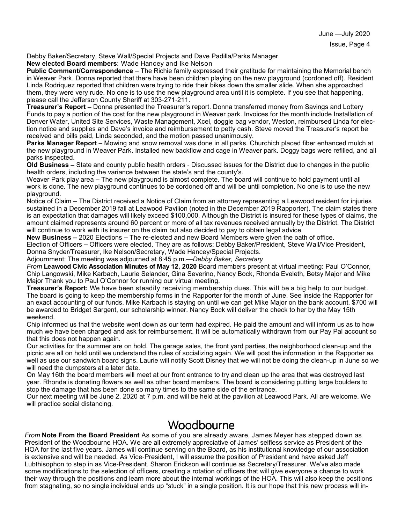Debby Baker/Secretary, Steve Wall/Special Projects and Dave Padilla/Parks Manager.

**New elected Board members**: Wade Hancey and Ike Nelson

**Public Comment/Correspondence** – The Richie family expressed their gratitude for maintaining the Memorial bench in Weaver Park. Donna reported that there have been children playing on the new playground (cordoned off). Resident Linda Rodriquez reported that children were trying to ride their bikes down the smaller slide. When she approached them, they were very rude. No one is to use the new playground area until it is complete. If you see that happening, please call the Jefferson County Sheriff at 303-271-211.

**Treasurer's Report –** Donna presented the Treasurer's report. Donna transferred money from Savings and Lottery Funds to pay a portion of the cost for the new playground in Weaver park. Invoices for the month include Installation of Denver Water, United Site Services, Waste Management, Xcel, doggie bag vendor, Weston, reimbursed Linda for election notice and supplies and Dave's invoice and reimbursement to petty cash. Steve moved the Treasurer's report be received and bills paid, Linda seconded, and the motion passed unanimously.

**Parks Manager Report** – Mowing and snow removal was done in all parks. Churchich placed fiber enhanced mulch at the new playground in Weaver Park. Installed new backflow and cage in Weaver park. Doggy bags were refilled, and all parks inspected.

**Old Business –** State and county public health orders - Discussed issues for the District due to changes in the public health orders, including the variance between the state's and the county's.

Weaver Park play area – The new playground is almost complete. The board will continue to hold payment until all work is done. The new playground continues to be cordoned off and will be until completion. No one is to use the new playground.

Notice of Claim – The District received a Notice of Claim from an attorney representing a Leawood resident for injuries sustained in a December 2019 fall at Leawood Pavilion (noted in the December 2019 Rapporter). The claim states there is an expectation that damages will likely exceed \$100,000. Although the District is insured for these types of claims, the amount claimed represents around 60 percent or more of all tax revenues received annually by the District. The District will continue to work with its insurer on the claim but also decided to pay to obtain legal advice.

**New Business –** 2020 Elections – The re-elected and new Board Members were given the oath of office. Election of Officers – Officers were elected. They are as follows: Debby Baker/President, Steve Wall/Vice President, Donna Snyder/Treasurer, Ike Nelson/Secretary, Wade Hancey/Special Projects.

Adjournment: The meeting was adjourned at 8:45 p.m.—*Debby Baker, Secretary*

*From* **Leawood Civic Association Minutes of May 12, 2020** Board members present at virtual meeting: Paul O'Connor, Chip Langowski, Mike Karbach, Laurie Selander, Gina Severino, Nancy Bock, Rhonda Eveleth, Betsy Major and Mike Major Thank you to Paul O'Connor for running our virtual meeting.

**Treasurer's Report:** We have been steadily receiving membership dues. This will be a big help to our budget. The board is going to keep the membership forms in the Rapporter for the month of June. See inside the Rapporter for an exact accounting of our funds. Mike Karbach is staying on until we can get Mike Major on the bank account. \$700 will be awarded to Bridget Sargent, our scholarship winner. Nancy Bock will deliver the check to her by the May 15th weekend.

Chip informed us that the website went down as our term had expired. He paid the amount and will inform us as to how much we have been charged and ask for reimbursement. It will be automatically withdrawn from our Pay Pal account so that this does not happen again.

Our activities for the summer are on hold. The garage sales, the front yard parties, the neighborhood clean-up and the picnic are all on hold until we understand the rules of socializing again. We will post the information in the Rapporter as well as use our sandwich board signs. Laurie will notify Scott Disney that we will not be doing the clean-up in June so we will need the dumpsters at a later date.

On May 16th the board members will meet at our front entrance to try and clean up the area that was destroyed last year. Rhonda is donating flowers as well as other board members. The board is considering putting large boulders to stop the damage that has been done so many times to the same side of the entrance.

Our next meeting will be June 2, 2020 at 7 p.m. and will be held at the pavilion at Leawood Park. All are welcome. We will practice social distancing.

### **Woodbourne**

*From* **Note From the Board President** As some of you are already aware, James Meyer has stepped down as President of the Woodbourne HOA. We are all extremely appreciative of James' selfless service as President of the HOA for the last five years. James will continue serving on the Board, as his institutional knowledge of our association is extensive and will be needed. As Vice-President, I will assume the position of President and have asked Jeff Lubthisophon to step in as Vice-President. Sharon Erickson will continue as Secretary/Treasurer. We've also made some modifications to the selection of officers, creating a rotation of officers that will give everyone a chance to work their way through the positions and learn more about the internal workings of the HOA. This will also keep the positions from stagnating, so no single individual ends up "stuck" in a single position. It is our hope that this new process will in-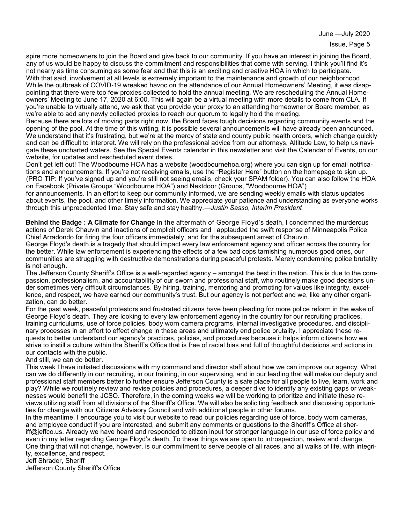June —July 2020

spire more homeowners to join the Board and give back to our community. If you have an interest in joining the Board, any of us would be happy to discuss the commitment and responsibilities that come with serving. I think you'll find it's not nearly as time consuming as some fear and that this is an exciting and creative HOA in which to participate.

With that said, involvement at all levels is extremely important to the maintenance and growth of our neighborhood. While the outbreak of COVID-19 wreaked havoc on the attendance of our Annual Homeowners' Meeting, it was disappointing that there were too few proxies collected to hold the annual meeting. We are rescheduling the Annual Homeowners' Meeting to June 17, 2020 at 6:00. This will again be a virtual meeting with more details to come from CLA. If you're unable to virtually attend, we ask that you provide your proxy to an attending homeowner or Board member, as we're able to add any newly collected proxies to reach our quorum to legally hold the meeting.

Because there are lots of moving parts right now, the Board faces tough decisions regarding community events and the opening of the pool. At the time of this writing, it is possible several announcements will have already been announced. We understand that it's frustrating, but we're at the mercy of state and county public health orders, which change quickly and can be difficult to interpret. We will rely on the professional advice from our attorneys, Altitude Law, to help us navigate these uncharted waters. See the Special Events calendar in this newsletter and visit the Calendar of Events, on our website, for updates and rescheduled event dates.

Don't get left out! The Woodbourne HOA has a website (woodbournehoa.org) where you can sign up for email notifications and announcements. If you're not receiving emails, use the "Register Here" button on the homepage to sign up. (PRO TIP: If you've signed up and you're still not seeing emails, check your SPAM folder). You can also follow the HOA on Facebook (Private Groups "Woodbourne HOA") and Nextdoor (Groups, "Woodbourne HOA")

for announcements. In an effort to keep our community informed, we are sending weekly emails with status updates about events, the pool, and other timely information. We appreciate your patience and understanding as everyone works through this unprecedented time. Stay safe and stay healthy.—*Justin Sasso, Interim President*

**Behind the Badge : A Climate for Change** In the aftermath of George Floyd's death, I condemned the murderous actions of Derek Chauvin and inactions of complicit officers and I applauded the swift response of Minneapolis Police Chief Arradondo for firing the four officers immediately, and for the subsequent arrest of Chauvin.

George Floyd's death is a tragedy that should impact every law enforcement agency and officer across the country for the better. While law enforcement is experiencing the effects of a few bad cops tarnishing numerous good ones, our communities are struggling with destructive demonstrations during peaceful protests. Merely condemning police brutality is not enough.

The Jefferson County Sheriff's Office is a well-regarded agency – amongst the best in the nation. This is due to the compassion, professionalism, and accountability of our sworn and professional staff, who routinely make good decisions under sometimes very difficult circumstances. By hiring, training, mentoring and promoting for values like integrity, excellence, and respect, we have earned our community's trust. But our agency is not perfect and we, like any other organization, can do better.

For the past week, peaceful protestors and frustrated citizens have been pleading for more police reform in the wake of George Floyd's death. They are looking to every law enforcement agency in the country for our recruiting practices, training curriculums, use of force policies, body worn camera programs, internal investigative procedures, and disciplinary processes in an effort to effect change in these areas and ultimately end police brutality. I appreciate these requests to better understand our agency's practices, policies, and procedures because it helps inform citizens how we strive to instill a culture within the Sheriff's Office that is free of racial bias and full of thoughtful decisions and actions in our contacts with the public.

#### And still, we can do better.

This week I have initiated discussions with my command and director staff about how we can improve our agency. What can we do differently in our recruiting, in our training, in our supervising, and in our leading that will make our deputy and professional staff members better to further ensure Jefferson County is a safe place for all people to live, learn, work and play? While we routinely review and revise policies and procedures, a deeper dive to identify any existing gaps or weaknesses would benefit the JCSO. Therefore, in the coming weeks we will be working to prioritize and initiate these reviews utilizing staff from all divisions of the Sheriff's Office. We will also be soliciting feedback and discussing opportunities for change with our Citizens Advisory Council and with additional people in other forums.

In the meantime, I encourage you to visit our website to read our policies regarding use of force, body worn cameras, and employee conduct if you are interested, and submit any comments or questions to the Sheriff's Office at sheriff@jeffco.us. Already we have heard and responded to citizen input for stronger language in our use of force policy and even in my letter regarding George Floyd's death. To these things we are open to introspection, review and change. One thing that will not change, however, is our commitment to serve people of all races, and all walks of life, with integrity, excellence, and respect.

Jeff Shrader, Sheriff

Jefferson County Sheriff's Office